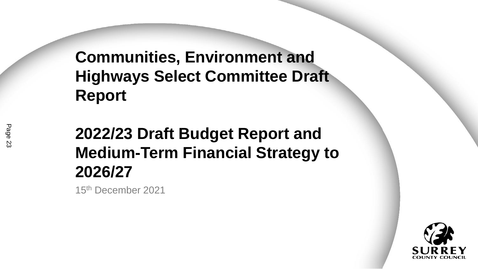# **Communities, Environment and Highways Select Committee Draft Report**

# **2022/23 Draft Budget Report and Medium-Term Financial Strategy to 2026/27**

15th December 2021

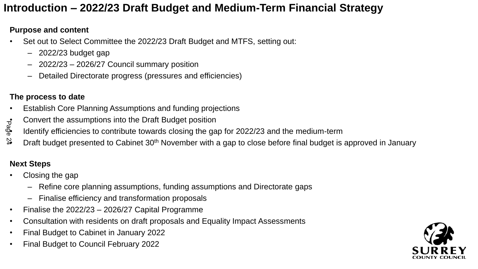# **Introduction – 2022/23 Draft Budget and Medium-Term Financial Strategy**

#### **Purpose and content**

- Set out to Select Committee the 2022/23 Draft Budget and MTFS, setting out:
	- 2022/23 budget gap
	- 2022/23 2026/27 Council summary position
	- Detailed Directorate progress (pressures and efficiencies)

#### **The process to date**

- Establish Core Planning Assumptions and funding projections
- Convert the assumptions into the Draft Budget position
- Identify efficiencies to contribute towards closing the gap for 2022/23 and the medium-term Page<br>
<sup>1</sup>
- $\mathbb{S}$  Draft budget presented to Cabinet 30<sup>th</sup> November with a gap to close before final budget is approved in January

#### **Next Steps**

- Closing the gap
	- Refine core planning assumptions, funding assumptions and Directorate gaps
	- Finalise efficiency and transformation proposals
- Finalise the 2022/23 2026/27 Capital Programme
- Consultation with residents on draft proposals and Equality Impact Assessments
- Final Budget to Cabinet in January 2022
- Final Budget to Council February 2022

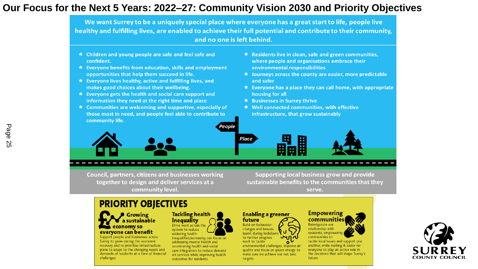#### **Our Focus for the Next 5 Years: 2022–27: Community Vision 2030 and Priority Objectives**

We want Surrey to be a uniquely special place where everyone has a great start to life, people live healthy and fulfilling lives, are enabled to achieve their full potential and contribute to their community, and no one is left behind.

eople

Place

- $\star$  Children and young people are safe and feel safe and confident.
- $\star$  Everyone benefits from education, skills and employment opportunities that help them succeed in life.
- $\star$  Everyone lives healthy, active and fulfilling lives, and makes good choices about their wellbeing.
- $\star$  Everyone gets the health and social care support and information they need at the right time and place
- $\star$  Communities are welcoming and supportive, especially of those most in need, and people feel able to contribute to community life.



**Council, partners, citizens and businesses working** together to design and deliver services at a community level.

Supporting local business grow and provide sustainable benefits to the communities that they serve.

Residents live in clean, safe and green communities,

 $\star$  Journeys across the county are easier, more predictable

 $\star$  Everyone has a place they can call home, with appropriate

where people and organisations embrace their

★ Well connected communities, with effective

infrastructure, that grow sustainably

environmental responsibilities

and safer

housing for all

★ Businesses in Surrey thrive

#### **PRIORITY OBJECTIVES**



Support people and businesses across Surrey to grow during the economic recovery and re-prioritise infrastructure plans to adapt to the changing needs and demands of residents at a time of financial challenges.



inequalities, increasing our focus on addressing mental health and accelerating health and social care integration to reduce demand on services while improving health outcomes for residents

#### **Enabling a greener** future

**Build on behaviour** changes and lessons learnt during lockdown to further progress work to tackle environmental challenges, improve air quality and focus on green energy to make sure we achieve our net zero targets



tackle local issues and support one another, while making it easier for everyone to play an active role in the decisions that will shape Surrey's future

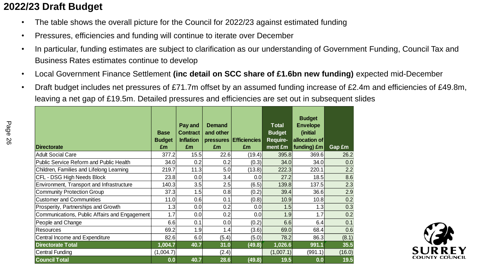# **2022/23 Draft Budget**

- The table shows the overall picture for the Council for 2022/23 against estimated funding
- Pressures, efficiencies and funding will continue to iterate over December
- In particular, funding estimates are subject to clarification as our understanding of Government Funding, Council Tax and Business Rates estimates continue to develop
- Local Government Finance Settlement **(inc detail on SCC share of £1.6bn new funding)** expected mid-December
- Draft budget includes net pressures of £71.7m offset by an assumed funding increase of £2.4m and efficiencies of £49.8m, leaving a net gap of £19.5m. Detailed pressures and efficiencies are set out in subsequent slides

| Page<br>92 |                                                | <b>Base</b><br><b>Budget</b> | Pay and<br><b>Contract</b><br><b>Inflation</b> | <b>Demand</b><br>and other | pressures Efficiencies | <b>Total</b><br><b>Budget</b><br><b>Require-</b> | <b>Budget</b><br><b>Envelope</b><br>(initial)<br>allocation of |        |
|------------|------------------------------------------------|------------------------------|------------------------------------------------|----------------------------|------------------------|--------------------------------------------------|----------------------------------------------------------------|--------|
|            | <b>Directorate</b>                             | £m                           | £m                                             | £m                         | £m                     | ment £m                                          | funding) £m                                                    | Gap £m |
|            | <b>Adult Social Care</b>                       | 377.2                        | 15.5                                           | 22.6                       | (19.4)                 | 395.8                                            | 369.6                                                          | 26.2   |
|            | <b>Public Service Reform and Public Health</b> | 34.0                         | 0.2                                            | 0.2                        | (0.3)                  | 34.0                                             | 34.0                                                           | 0.0    |
|            | Children, Families and Lifelong Learning       | 219.7                        | 11.3                                           | 5.0                        | (13.8)                 | 222.3                                            | 220.1                                                          | 2.2    |
|            | CFL - DSG High Needs Block                     | 23.8                         | 0.0                                            | 3.4                        | 0.0 <sub>l</sub>       | 27.2                                             | 18.5                                                           | 8.6    |
|            | Environment, Transport and Infrastructure      | 140.3                        | 3.5                                            | 2.5                        | (6.5)                  | 139.8                                            | 137.5                                                          | 2.3    |
|            | <b>Community Protection Group</b>              | 37.3                         | 1.5                                            | 0.8                        | (0.2)                  | 39.4                                             | 36.6                                                           | 2.9    |
|            | <b>Customer and Communities</b>                | 11.0                         | 0.6                                            | 0.1                        | (0.8)                  | 10.9                                             | 10.8                                                           | 0.2    |
|            | Prosperity, Partnerships and Growth            | 1.3                          | 0.0                                            | 0.2                        | 0.0                    | 1.5                                              | 1.3                                                            | 0.3    |
|            | Communications, Public Affairs and Engagement  | 1.7                          | 0.0                                            | 0.2                        | 0.0                    | 1.9                                              | 1.7                                                            | 0.2    |
|            | People and Change                              | 6.6                          | 0.1                                            | 0.0                        | (0.2)                  | 6.6                                              | 6.4                                                            | 0.1    |
|            | <b>Resources</b>                               | 69.2                         | 1.9                                            | 1.4                        | (3.6)                  | 69.0                                             | 68.4                                                           | 0.6    |
|            | Central Income and Expenditure                 | 82.6                         | 6.0                                            | (5.4)                      | (5.0)                  | 78.2                                             | 86.3                                                           | (8.1)  |
|            | <b>Directorate Total</b>                       | 1,004.7                      | 40.7                                           | 31.0                       | (49.8)                 | 1,026.6                                          | 991.1                                                          | 35.5   |
|            | <b>Central Funding</b>                         | (1,004.7)                    |                                                | (2.4)                      |                        | (1,007.1)                                        | (991.1)                                                        | (16.0) |
|            | <b>Council Total</b>                           | 0.0                          | 40.7                                           | 28.6                       | (49.8)                 | 19.5                                             | 0.0                                                            | 19.5   |

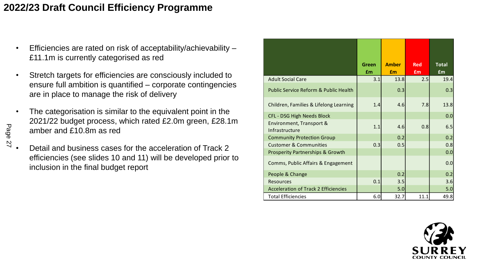#### **2022/23 Draft Council Efficiency Programme**

- Efficiencies are rated on risk of acceptability/achievability £11.1m is currently categorised as red
- Stretch targets for efficiencies are consciously included to ensure full ambition is quantified – corporate contingencies are in place to manage the risk of delivery
- The categorisation is similar to the equivalent point in the 2021/22 budget process, which rated £2.0m green, £28.1m amber and £10.8m as red
- Detail and business cases for the acceleration of Track 2 efficiencies (see slides 10 and 11) will be developed prior to inclusion in the final budget report

|         | Efficiencies are rated on risk of acceptability/achievability –<br>£11.1m is currently categorised as red   |                                                                   |           |              |            |              |
|---------|-------------------------------------------------------------------------------------------------------------|-------------------------------------------------------------------|-----------|--------------|------------|--------------|
|         |                                                                                                             |                                                                   | Green     | <b>Amber</b> | <b>Red</b> | <b>Total</b> |
|         | Stretch targets for efficiencies are consciously included to                                                |                                                                   | <b>fm</b> | <b>fm</b>    | £m         | Em           |
|         | ensure full ambition is quantified – corporate contingencies<br>are in place to manage the risk of delivery | <b>Adult Social Care</b><br>Public Service Reform & Public Health | 3.1       | 13.8<br>0.3  | 2.5        | 19.4<br>0.3  |
| Page 27 | The categorisation is similar to the equivalent point in the                                                | Children, Families & Lifelong Learning                            | 1.4       | 4.6          | 7.8        | 13.8         |
|         |                                                                                                             | <b>CFL - DSG High Needs Block</b>                                 |           |              |            | 0.0          |
|         | 2021/22 budget process, which rated £2.0m green, £28.1m<br>amber and £10.8m as red                          | <b>Environment, Transport &amp;</b><br>Infrastructure             | 1.1       | 4.6          | 0.8        | 6.5          |
|         |                                                                                                             | <b>Community Protection Group</b>                                 |           | 0.2          |            | 0.2          |
|         | Detail and business cases for the acceleration of Track 2                                                   | <b>Customer &amp; Communities</b>                                 | 0.3       | 0.5          |            | 0.8          |
|         |                                                                                                             | <b>Prosperity Partnerships &amp; Growth</b>                       |           |              |            | 0.0          |
|         | efficiencies (see slides 10 and 11) will be developed prior to<br>inclusion in the final budget report      | Comms, Public Affairs & Engagement                                |           |              |            | 0.0          |
|         |                                                                                                             | People & Change                                                   |           | 0.2          |            | 0.2          |
|         |                                                                                                             | <b>Resources</b>                                                  | 0.1       | 3.5          |            | 3.6          |
|         |                                                                                                             | <b>Acceleration of Track 2 Efficiencies</b>                       |           | 5.0          |            | 5.0          |
|         |                                                                                                             | <b>Total Efficiencies</b>                                         | 6.0       | 32.7         | 11.1       | 49.8         |

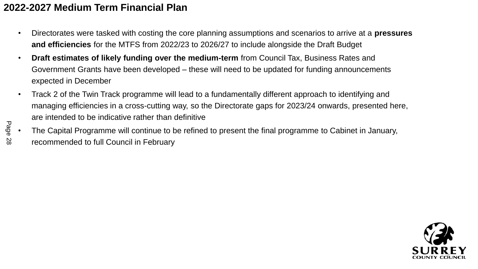#### **2022-2027 Medium Term Financial Plan**

Page 28

- Directorates were tasked with costing the core planning assumptions and scenarios to arrive at a **pressures and efficiencies** for the MTFS from 2022/23 to 2026/27 to include alongside the Draft Budget
- **Draft estimates of likely funding over the medium-term** from Council Tax, Business Rates and Government Grants have been developed – these will need to be updated for funding announcements expected in December
- Track 2 of the Twin Track programme will lead to a fundamentally different approach to identifying and managing efficiencies in a cross-cutting way, so the Directorate gaps for 2023/24 onwards, presented here, are intended to be indicative rather than definitive
- The Capital Programme will continue to be refined to present the final programme to Cabinet in January, recommended to full Council in February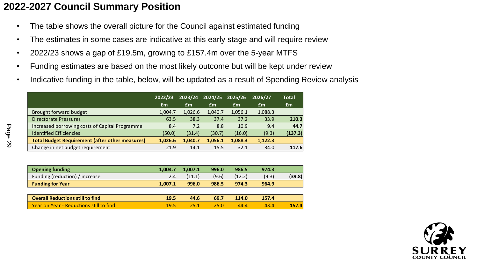### **2022-2027 Council Summary Position**

- The table shows the overall picture for the Council against estimated funding
- The estimates in some cases are indicative at this early stage and will require review
- 2022/23 shows a gap of £19.5m, growing to £157.4m over the 5-year MTFS
- Funding estimates are based on the most likely outcome but will be kept under review
- Indicative funding in the table, below, will be updated as a result of Spending Review analysis

|                                                        | 2022/23<br>Em | 2023/24<br>£m | 2024/25<br>£m | 2025/26<br>£m | 2026/27<br>£m | <b>Total</b><br>£m |
|--------------------------------------------------------|---------------|---------------|---------------|---------------|---------------|--------------------|
| Brought forward budget                                 | 1,004.7       | 1,026.6       | 1,040.7       | 1,056.1       | 1,088.3       |                    |
| <b>Directorate Pressures</b>                           | 63.5          | 38.3          | 37.4          | 37.2          | 33.9          | 210.3              |
| Increased borrowing costs of Capital Programme         | 8.4           | 7.2           | 8.8           | 10.9          | 9.4           | 44.7               |
| <b>Identified Efficiencies</b>                         | (50.0)        | (31.4)        | (30.7)        | (16.0)        | (9.3)         | (137.3)            |
| <b>Total Budget Requirement (after other measures)</b> | 1,026.6       | 1.040.7       | 1,056.1       | 1,088.3       | 1,122.3       |                    |
| Change in net budget requirement                       | 21.9          | 14.1          | 15.5          | 32.1          | 34.0          | 117.6              |

|      | Increased borrowing costs of Capital Programme         | 8.4     | 7.2     | 8.8     | 10.9    | 9.4     | 44.7    |
|------|--------------------------------------------------------|---------|---------|---------|---------|---------|---------|
| Page | <b>Identified Efficiencies</b>                         | (50.0)  | (31.4)  | (30.7)  | (16.0)  | (9.3)   | (137.3) |
|      | <b>Total Budget Requirement (after other measures)</b> | 1,026.6 | 1,040.7 | 1,056.1 | 1,088.3 | 1,122.3 |         |
| 29   | Change in net budget requirement                       | 21.9    | 14.1    | 15.5    | 32.1    | 34.0    | 117.6   |
|      |                                                        |         |         |         |         |         |         |
|      |                                                        |         |         |         |         |         |         |
|      | <b>Opening funding</b>                                 | 1,004.7 | 1,007.1 | 996.0   | 986.5   | 974.3   |         |
|      | Funding (reduction) / increase                         | 2.4     | (11.1)  | (9.6)   | (12.2)  | (9.3)   | (39.8)  |
|      | <b>Funding for Year</b>                                | 1,007.1 | 996.0   | 986.5   | 974.3   | 964.9   |         |
|      |                                                        |         |         |         |         |         |         |
|      | <b>Overall Reductions still to find</b>                | 19.5    | 44.6    | 69.7    | 114.0   | 157.4   |         |
|      | Year on Year - Reductions still to find                | 19.5    | 25.1    | 25.0    | 44.4    | 43.4    | 157.4   |
|      |                                                        |         |         |         |         |         |         |

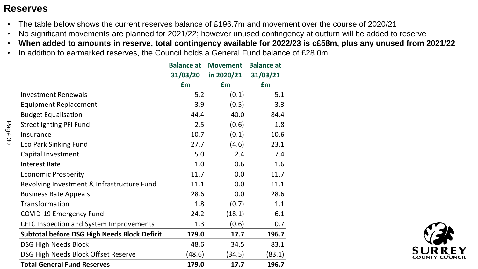#### **Reserves**

- The table below shows the current reserves balance of £196.7m and movement over the course of 2020/21
- No significant movements are planned for 2021/22; however unused contingency at outturn will be added to reserve
- **When added to amounts in reserve, total contingency available for 2022/23 is c£58m, plus any unused from 2021/22**
- In addition to earmarked reserves, the Council holds a General Fund balance of £28.0m

|         |                                                     | <b>Balance at</b><br>31/03/20 | <b>Movement</b><br>in 2020/21 | <b>Balance at</b><br>31/03/21 |
|---------|-----------------------------------------------------|-------------------------------|-------------------------------|-------------------------------|
|         |                                                     | £m                            | £m                            | £m                            |
|         |                                                     |                               |                               |                               |
|         | <b>Investment Renewals</b>                          | 5.2                           | (0.1)                         | 5.1                           |
|         | <b>Equipment Replacement</b>                        | 3.9                           | (0.5)                         | 3.3                           |
|         | <b>Budget Equalisation</b>                          | 44.4                          | 40.0                          | 84.4                          |
|         | <b>Streetlighting PFI Fund</b>                      | 2.5                           | (0.6)                         | 1.8                           |
| Page 30 | Insurance                                           | 10.7                          | (0.1)                         | 10.6                          |
|         | <b>Eco Park Sinking Fund</b>                        | 27.7                          | (4.6)                         | 23.1                          |
|         | Capital Investment                                  | 5.0                           | 2.4                           | 7.4                           |
|         | <b>Interest Rate</b>                                | 1.0                           | 0.6                           | 1.6                           |
|         | <b>Economic Prosperity</b>                          | 11.7                          | 0.0                           | 11.7                          |
|         | Revolving Investment & Infrastructure Fund          | 11.1                          | 0.0                           | 11.1                          |
|         | <b>Business Rate Appeals</b>                        | 28.6                          | 0.0                           | 28.6                          |
|         | Transformation                                      | 1.8                           | (0.7)                         | 1.1                           |
|         | <b>COVID-19 Emergency Fund</b>                      | 24.2                          | (18.1)                        | 6.1                           |
|         | <b>CFLC Inspection and System Improvements</b>      | 1.3                           | (0.6)                         | 0.7                           |
|         | <b>Subtotal before DSG High Needs Block Deficit</b> | 179.0                         | 17.7                          | 196.7                         |
|         | <b>DSG High Needs Block</b>                         | 48.6                          | 34.5                          | 83.1                          |
|         | DSG High Needs Block Offset Reserve                 | (48.6)                        | (34.5)                        | (83.1)                        |
|         | <b>Total General Fund Reserves</b>                  | 179.0                         | 17.7                          | 196.7                         |

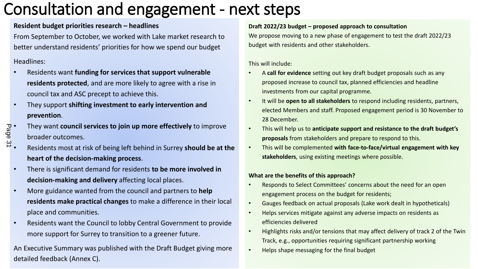# Consultation and engagement - next steps

#### **Resident budget priorities research – headlines**

From September to October, we worked with Lake market research to better understand residents' priorities for how we spend our budget

#### Headlines:

- Residents want **funding for services that support vulnerable residents protected**, and are more likely to agree with a rise in council tax and ASC precept to achieve this.
- They support **shifting investment to early intervention and prevention**.
- They want **council services to join up more effectively** to improve broader outcomes. .<br>Page 31
	- Residents most at risk of being left behind in Surrey **should be at the heart of the decision-making process**.
	- There is significant demand for residents **to be more involved in decision-making and delivery** affecting local places.
	- More guidance wanted from the council and partners to **help residents make practical changes** to make a difference in their local place and communities.
	- Residents want the Council to lobby Central Government to provide more support for Surrey to transition to a greener future.

An Executive Summary was published with the Draft Budget giving more detailed feedback (Annex C).

#### **Draft 2022/23 budget – proposed approach to consultation**

We propose moving to a new phase of engagement to test the draft 2022/23 budget with residents and other stakeholders.

This will include:

- A **call for evidence** setting out key draft budget proposals such as any proposed increase to council tax, planned efficiencies and headline investments from our capital programme.
- It will be **open to all stakeholders** to respond including residents, partners, elected Members and staff. Proposed engagement period is 30 November to 28 December.
- This will help us to **anticipate support and resistance to the draft budget's proposals** from stakeholders and prepare to respond to this.
- This will be complemented **with face-to-face/virtual engagement with key stakeholders**, using existing meetings where possible.

#### **What are the benefits of this approach?**

- Responds to Select Committees' concerns about the need for an open engagement process on the budget for residents;
- Gauges feedback on actual proposals (Lake work dealt in hypotheticals)
- Helps services mitigate against any adverse impacts on residents as efficiencies delivered
- Highlights risks and/or tensions that may affect delivery of track 2 of the Twin Track, e.g., opportunities requiring significant partnership working
- Helps shape messaging for the final budget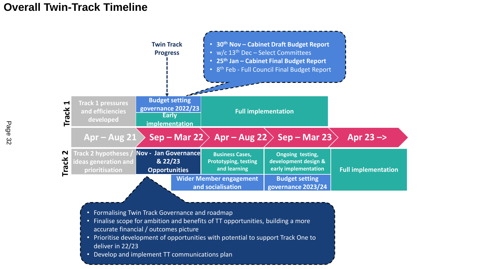## **Overall Twin-Track Timeline**



- Formalising Twin Track Governance and roadmap
- Finalise scope for ambition and benefits of TT opportunities, building a more accurate financial / outcomes picture
- Prioritise development of opportunities with potential to support Track One to deliver in 22/23
- Develop and implement TT communications plan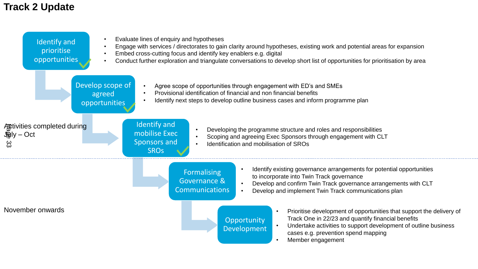#### **Track 2 Update**

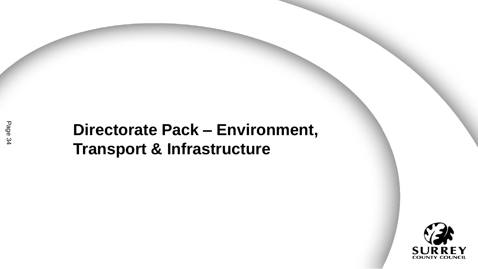# **Directorate Pack – Environment, Transport & Infrastructure**

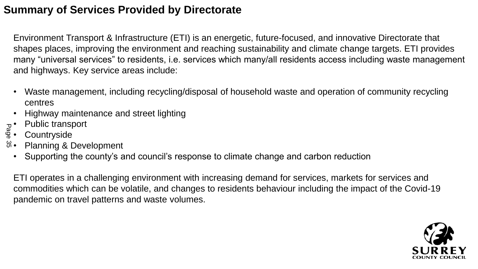# **Summary of Services Provided by Directorate**

Environment Transport & Infrastructure (ETI) is an energetic, future-focused, and innovative Directorate that shapes places, improving the environment and reaching sustainability and climate change targets. ETI provides many "universal services" to residents, i.e. services which many/all residents access including waste management and highways. Key service areas include:

- Waste management, including recycling/disposal of household waste and operation of community recycling centres
- Highway maintenance and street lighting
- Public transport
- **Countryside** ege<br>Page
- Planning & Development
	- Supporting the county's and council's response to climate change and carbon reduction

ETI operates in a challenging environment with increasing demand for services, markets for services and commodities which can be volatile, and changes to residents behaviour including the impact of the Covid-19 pandemic on travel patterns and waste volumes.

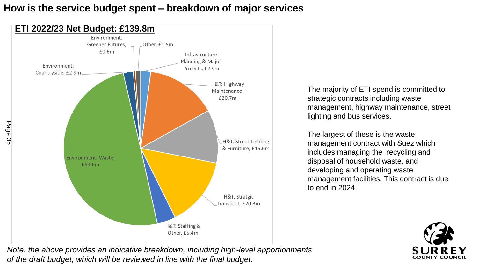### **How is the service budget spent – breakdown of major services**



The majority of ETI spend is committed to strategic contracts including waste management, highway maintenance, street lighting and bus services.

The largest of these is the waste management contract with Suez which includes managing the recycling and disposal of household waste, and developing and operating waste management facilities. This contract is due to end in 2024.



*Note: the above provides an indicative breakdown, including high-level apportionments of the draft budget, which will be reviewed in line with the final budget.*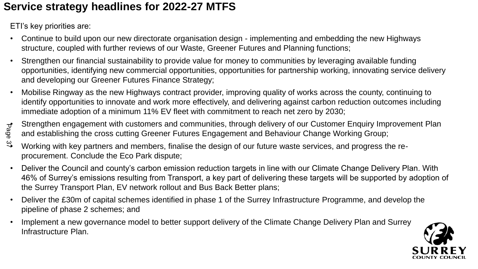# **Service strategy headlines for 2022-27 MTFS**

ETI's key priorities are:

- Continue to build upon our new directorate organisation design implementing and embedding the new Highways structure, coupled with further reviews of our Waste, Greener Futures and Planning functions;
- Strengthen our financial sustainability to provide value for money to communities by leveraging available funding opportunities, identifying new commercial opportunities, opportunities for partnership working, innovating service delivery and developing our Greener Futures Finance Strategy;
- Mobilise Ringway as the new Highways contract provider, improving quality of works across the county, continuing to identify opportunities to innovate and work more effectively, and delivering against carbon reduction outcomes including immediate adoption of a minimum 11% EV fleet with commitment to reach net zero by 2030;
- Strengthen engagement with customers and communities, through delivery of our Customer Enquiry Improvement Plan and establishing the cross cutting Greener Futures Engagement and Behaviour Change Working Group; Page
- $\frac{\omega}{2}$  Working with key partners and members, finalise the design of our future waste services, and progress the reprocurement. Conclude the Eco Park dispute;
- Deliver the Council and county's carbon emission reduction targets in line with our Climate Change Delivery Plan. With 46% of Surrey's emissions resulting from Transport, a key part of delivering these targets will be supported by adoption of the Surrey Transport Plan, EV network rollout and Bus Back Better plans;
- Deliver the £30m of capital schemes identified in phase 1 of the Surrey Infrastructure Programme, and develop the pipeline of phase 2 schemes; and
- Implement a new governance model to better support delivery of the Climate Change Delivery Plan and Surrey Infrastructure Plan.

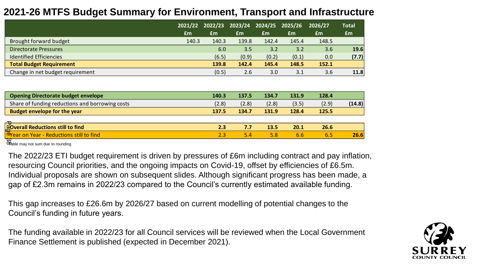## **2021-26 MTFS Budget Summary for Environment, Transport and Infrastructure**

|                                  |       |       | 2021/22 2022/23 2023/24 2024/25 2025/26 |       |       | 2026/27 | <b>Total</b> |
|----------------------------------|-------|-------|-----------------------------------------|-------|-------|---------|--------------|
|                                  | £m    | £m    | £m                                      | £m    | £m    | £m      | £m           |
| Brought forward budget           | 140.3 | 140.3 | 139.8                                   | 142.4 | 145.4 | 148.5   |              |
| <b>Directorate Pressures</b>     |       | 6.0   | 3.5                                     | 3.2   | 3.2   | 3.6     | 19.6         |
| <b>Identified Efficiencies</b>   |       | (6.5) | (0.9)                                   | (0.2) | (0.1) | 0.0     | (7.7)        |
| <b>Total Budget Requirement</b>  |       | 139.8 | 142.4                                   | 145.4 | 148.5 | 152.1   |              |
| Change in net budget requirement |       | (0.5) | 2.6                                     | 3.0   | 3.1   | 3.6     | 11.8         |

| <b>Opening Directorate budget envelope</b>       | 140.3 | 137.5 | 134.7 | 131.9 | 128.4 |        |
|--------------------------------------------------|-------|-------|-------|-------|-------|--------|
| Share of funding reductions and borrowing costs  | (2.8) | (2.8) | (2.8) | (3.5) | (2.9) | (14.8) |
| <b>Budget envelope for the year</b>              | 137.5 | 134.7 | 131.9 | 128.4 | 125.5 |        |
|                                                  |       |       |       |       |       |        |
| <b>AOverall Reductions still to find</b>         | 2.3   | 7.7   | 13.5  | 20.1  | 26.6  |        |
| <b>P</b> Year on Year - Reductions still to find | 2.3   | 5.4   | 5.8   | 6.6   | 6.5   | 26.6   |
| ₩<br>OPable may not sum due to rounding          |       |       |       |       |       |        |

The 2022/23 ETI budget requirement is driven by pressures of £6m including contract and pay inflation, resourcing Council priorities, and the ongoing impacts on Covid-19, offset by efficiencies of £6.5m. Individual proposals are shown on subsequent slides. Although significant progress has been made, a gap of £2.3m remains in 2022/23 compared to the Council's currently estimated available funding.

This gap increases to £26.6m by 2026/27 based on current modelling of potential changes to the Council's funding in future years.

The funding available in 2022/23 for all Council services will be reviewed when the Local Government Finance Settlement is published (expected in December 2021).

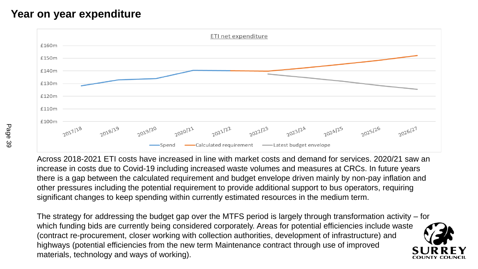# **Year on year expenditure**



Across 2018-2021 ETI costs have increased in line with market costs and demand for services. 2020/21 saw an increase in costs due to Covid-19 including increased waste volumes and measures at CRCs. In future years there is a gap between the calculated requirement and budget envelope driven mainly by non-pay inflation and other pressures including the potential requirement to provide additional support to bus operators, requiring significant changes to keep spending within currently estimated resources in the medium term.

The strategy for addressing the budget gap over the MTFS period is largely through transformation activity – for which funding bids are currently being considered corporately. Areas for potential efficiencies include waste (contract re-procurement, closer working with collection authorities, development of infrastructure) and highways (potential efficiencies from the new term Maintenance contract through use of improved materials, technology and ways of working).

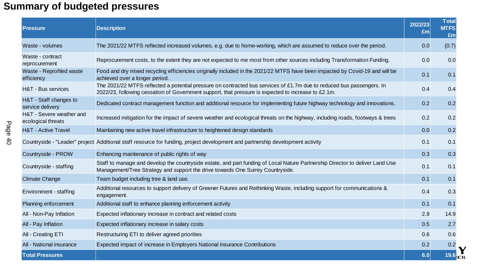# **Summary of budgeted pressures**

|      | <b>Pressure</b>                                | <b>Description</b>                                                                                                                                                                                                           | 2022/23<br>£m | <b>Total</b><br><b>MTFS</b><br>£m |
|------|------------------------------------------------|------------------------------------------------------------------------------------------------------------------------------------------------------------------------------------------------------------------------------|---------------|-----------------------------------|
|      | Waste - volumes                                | The 2021/22 MTFS reflected increased volumes, e.g. due to home-working, which are assumed to reduce over the period.                                                                                                         | 0.0           | (0.7)                             |
|      | Waste - contract<br>reprocurement              | Reprocurement costs, to the extent they are not expected to me most from other sources including Transformation Funding.                                                                                                     | 0.0           | 0.0                               |
|      | Waste - Reprofiled waste<br>efficiency         | Food and dry mixed recycling efficiencies originally included in the 2021/22 MTFS have been impacted by Covid-19 and will be<br>achieved over a longer period.                                                               | 0.1           | 0.1                               |
|      | H&T - Bus services                             | The 2021/22 MTFS reflected a potential pressure on contracted bus services of £1.7m due to reduced bus passengers. In<br>2022/23, following cessation of Government support, that pressure is expected to increase to £2.1m. | 0.4           | 0.4                               |
|      | H&T - Staff changes to<br>service delivery     | Dedicated contract management function and additional resource for implementing future highway technology and innovations.                                                                                                   | 0.2           | 0.2                               |
|      | H&T - Severe weather and<br>ecological threats | Increased mitigation for the impact of severe weather and ecological threats on the highway, including roads, footways & trees                                                                                               | 0.2           | 0.2                               |
| Page | <b>H&amp;T - Active Travel</b>                 | Maintaining new active travel infrastructure to heightened design standards                                                                                                                                                  | 0.0           | 0.2                               |
| 40   |                                                | Countryside - "Leader" project Additional staff resource for funding, project development and partnership development activity                                                                                               | 0.1           | 0.1                               |
|      | Countryside - PROW                             | Enhancing maintenance of public rights of way                                                                                                                                                                                | 0.3           | 0.3                               |
|      | Countryside - staffing                         | Staff to manage and develop the countryside estate, and part funding of Local Nature Partnership Director to deliver Land Use<br>Management/Tree Strategy and support the drive towards One Surrey Countryside.              | 0.1           | 0.1                               |
|      | <b>Climate Change</b>                          | Team budget including tree & land use.                                                                                                                                                                                       | 0.1           | 0.1                               |
|      | Environment - staffing                         | Additional resources to support delivery of Greener Futures and Rethinking Waste, including support for communications &<br>engagement.                                                                                      | 0.4           | 0.3                               |
|      | Planning enforcement                           | Additional staff to enhance planning enforcement activity                                                                                                                                                                    | 0.1           | 0.1                               |
|      | All - Non-Pay Inflation                        | Expected inflationary increase in contract and related costs                                                                                                                                                                 | 2.9           | 14.9                              |
|      | All - Pay Inflation                            | Expected inflationary increase in salary costs                                                                                                                                                                               | 0.5           | 2.7                               |
|      | All - Creating ETI                             | Restructuring ETI to deliver agreed priorities                                                                                                                                                                               | 0.6           | 0.6                               |
|      | All - National insurance                       | Expected impact of increase in Employers National Insurance Contributions                                                                                                                                                    | 0.2           | 0.2                               |
|      | <b>Total Pressures</b>                         |                                                                                                                                                                                                                              | 6.0           | <b>19.6</b> CIL                   |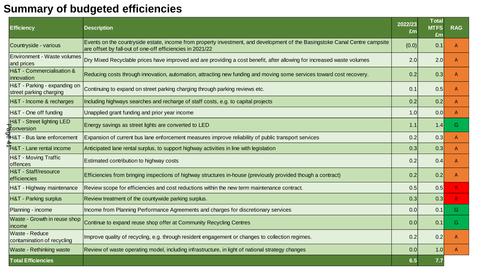# **Summary of budgeted efficiencies**

| <b>Efficiency</b>                                       | <b>Description</b>                                                                                                                                                                       | 2022/23<br>£m | <b>Total</b><br><b>MTFS</b><br>£m | <b>RAG</b>   |
|---------------------------------------------------------|------------------------------------------------------------------------------------------------------------------------------------------------------------------------------------------|---------------|-----------------------------------|--------------|
| Countryside - various                                   | Events on the countryside estate, income from property investment, and development of the Basingstoke Canal Centre campsite<br>are offset by fall-out of one-off efficiencies in 2021/22 | (0.0)         | 0.1                               | A            |
| <b>Environment - Waste volumes</b><br>and prices        | Dry Mixed Recyclable prices have improved and are providing a cost benefit, after allowing for increased waste volumes                                                                   | 2.0           | 2.0                               | $\mathsf{A}$ |
| H&T - Commercialisation &<br>innovation                 | Reducing costs through innovation, automation, attracting new funding and moving some services toward cost recovery.                                                                     | 0.2           | 0.3                               | A            |
| H&T - Parking - expanding on<br>street parking charging | Continuing to expand on street parking charging through parking reviews etc.                                                                                                             | 0.1           | 0.5                               | A            |
| H&T - Income & recharges                                | Including highways searches and recharge of staff costs, e.g. to capital projects                                                                                                        | 0.2           | 0.2                               | A            |
| H&T - One off funding                                   | Unapplied grant funding and prior year income                                                                                                                                            | 1.0           | 0.0                               | $\mathsf{A}$ |
| H&T - Street lighting LED<br><b>P</b> conversion        | Energy savings as street lights are converted to LED                                                                                                                                     | 1.1           | 1.4                               | G            |
| <b>CH&amp;T</b> - Bus lane enforcement                  | Expansion of current bus lane enforcement measures improve reliability of public transport services                                                                                      | 0.2           | 0.3                               | $\mathsf{A}$ |
| <b>TH&amp;T</b> - Lane rental income                    | Anticipated lane rental surplus, to support highway activities in line with legislation                                                                                                  | 0.3           | 0.3                               | A            |
| <b>H&amp;T - Moving Traffic</b><br>offences             | Estimated contribution to highway costs                                                                                                                                                  | 0.2           | 0.4                               | A            |
| H&T - Staff/resource<br>efficiencies                    | Efficiencies from bringing inspections of highway structures in-house (previously provided though a contract)                                                                            | 0.2           | 0.2                               | A            |
| H&T - Highway maintenance                               | Review scope for efficiencies and cost reductions within the new term maintenance contract.                                                                                              | 0.5           | 0.5                               |              |
| H&T - Parking surplus                                   | Review treatment of the countywide parking surplus.                                                                                                                                      | 0.3           | 0.3                               | R            |
| Planning - income                                       | Income from Planning Performance Agreements and charges for discretionary services                                                                                                       | 0.0           | 0.1                               | G            |
| Waste - Growth in reuse shop<br>income                  | Continue to expand reuse shop offer at Community Recycling Centres                                                                                                                       | 0.0           | 0.1                               | G            |
| Waste - Reduce<br>contamination of recycling            | Improve quality of recycling, e.g. through resident engagement or changes to collection regimes.                                                                                         | 0.2           | 0.2                               | A            |
| <b>Waste - Rethinking waste</b>                         | Review of waste operating model, including infrastructure, in light of national strategy changes                                                                                         | 0.0           | 1.0                               | $\mathsf{A}$ |
| <b>Total Efficiencies</b>                               |                                                                                                                                                                                          | 6.5           | 7.7                               |              |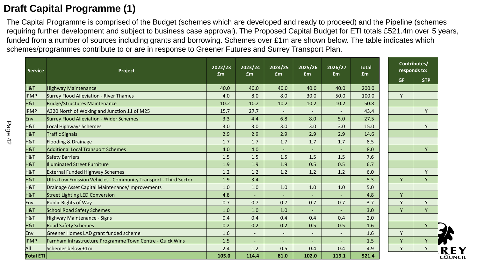## **Draft Capital Programme (1)**

The Capital Programme is comprised of the Budget (schemes which are developed and ready to proceed) and the Pipeline (schemes requiring further development and subject to business case approval). The Proposed Capital Budget for ETI totals £521.4m over 5 years, funded from a number of sources including grants and borrowing. Schemes over £1m are shown below. The table indicates which schemes/programmes contribute to or are in response to Greener Futures and Surrey Transport Plan.

| <b>Service</b>   | Project                                                          | 2022/23<br>£m | 2023/24<br><b>fm</b>     | 2024/25<br>£m            | 2025/26<br>£m            | 2026/27<br><b>fm</b>     | <b>Total</b><br>£m |           | Contributes/<br>responds to: |    |
|------------------|------------------------------------------------------------------|---------------|--------------------------|--------------------------|--------------------------|--------------------------|--------------------|-----------|------------------------------|----|
|                  |                                                                  |               |                          |                          |                          |                          |                    | <b>GF</b> | <b>STP</b>                   |    |
| H&T              | <b>Highway Maintenance</b>                                       | 40.0          | 40.0                     | 40.0                     | 40.0                     | 40.0                     | 200.0              |           |                              |    |
| <b>IPMP</b>      | Surrey Flood Alleviation - River Thames                          | 4.0           | 8.0                      | 8.0                      | 30.0                     | 50.0                     | 100.0              | Y         |                              |    |
| H&T              | Bridge/Structures Maintenance                                    | 10.2          | 10.2                     | 10.2                     | 10.2                     | 10.2                     | 50.8               |           |                              |    |
| <b>IPMP</b>      | A320 North of Woking and Junction 11 of M25                      | 15.7          | 27.7                     | $\overline{\phantom{a}}$ |                          | $\overline{\phantom{a}}$ | 43.4               |           | Y                            |    |
| Env              | Surrey Flood Alleviation - Wider Schemes                         | 3.3           | 4.4                      | 6.8                      | 8.0                      | 5.0                      | 27.5               |           |                              |    |
| H&T              | <b>Local Highways Schemes</b>                                    | 3.0           | 3.0                      | 3.0                      | 3.0                      | 3.0                      | 15.0               |           | Y                            |    |
| <b>H&amp;T</b>   | <b>Traffic Signals</b>                                           | 2.9           | 2.9                      | 2.9                      | 2.9                      | 2.9                      | 14.6               |           |                              |    |
| H&T              | Flooding & Drainage                                              | 1.7           | 1.7                      | 1.7                      | 1.7                      | 1.7                      | 8.5                |           |                              |    |
| H&T              | <b>Additional Local Transport Schemes</b>                        | 4.0           | 4.0                      | $\sim$                   | $\sim$                   | $\sim$                   | 8.0                |           | Y                            |    |
| H&T              | Safety Barriers                                                  | 1.5           | 1.5                      | 1.5                      | 1.5                      | 1.5                      | 7.6                |           |                              |    |
| H&T              | Illuminated Street Furniture                                     | 1.9           | 1.9                      | 1.9                      | 0.5                      | 0.5                      | 6.7                |           |                              |    |
| H&T              | <b>External Funded Highway Schemes</b>                           | 1.2           | 1.2                      | 1.2                      | 1.2                      | 1.2                      | 6.0                |           | Y                            |    |
| H&T              | Ultra Low Emission Vehicles - Community Transport - Third Sector | 1.9           | 3.4                      | $\sim$                   | $\overline{\phantom{a}}$ | $\overline{\phantom{a}}$ | 5.3                | Y         | Y                            |    |
| H&T              | Drainage Asset Capital Maintenance/Improvements                  | 1.0           | 1.0                      | 1.0                      | 1.0                      | 1.0                      | 5.0                |           |                              |    |
| H&T              | <b>Street Lighting LED Conversion</b>                            | 4.8           | $\blacksquare$           | $\sim$                   | $\sim$                   | $\sim$                   | 4.8                | Y         |                              |    |
| Env              | Public Rights of Way                                             | 0.7           | 0.7                      | 0.7                      | 0.7                      | 0.7                      | 3.7                | Y         | Y                            |    |
| H&T              | <b>School Road Safety Schemes</b>                                | 1.0           | 1.0                      | 1.0                      | $\sim$                   | $\overline{\phantom{a}}$ | 3.0                | Y         | Y                            |    |
| H&T              | Highway Maintenance - Signs                                      | 0.4           | 0.4                      | 0.4                      | 0.4                      | 0.4                      | 2.0                |           |                              |    |
| H&T              | <b>Road Safety Schemes</b>                                       | 0.2           | 0.2                      | 0.2                      | 0.5                      | 0.5                      | 1.6                |           | Y                            |    |
| Env              | Greener Homes LAD grant funded scheme                            | 1.6           | $\overline{\phantom{a}}$ | $\overline{\phantom{a}}$ | $\overline{\phantom{a}}$ | $\overline{\phantom{a}}$ | 1.6                | Y         |                              |    |
| <b>IPMP</b>      | Farnham Infrastructure Programme Town Centre - Quick Wins        | 1.5           | $\blacksquare$           | $\sim$                   | $\overline{\phantom{a}}$ | $\blacksquare$           | 1.5                | Y         | Y                            |    |
| All              | Schemes below £1m                                                | 2.4           | 1.2                      | 0.5                      | 0.4                      | 0.4                      | 4.9                | Y         | Y                            | R  |
| <b>Total ETI</b> |                                                                  | 105.0         | 114.4                    | 81.0                     | 102.0                    | 119.1                    | 521.4              |           |                              | сò |

UNCII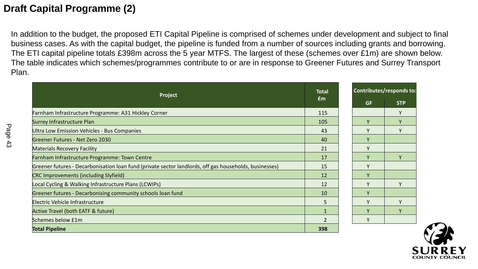### **Draft Capital Programme (2)**

In addition to the budget, the proposed ETI Capital Pipeline is comprised of schemes under development and subject to final business cases. As with the capital budget, the pipeline is funded from a number of sources including grants and borrowing. The ETI capital pipeline totals £398m across the 5 year MTFS. The largest of these (schemes over £1m) are shown below. The table indicates which schemes/programmes contribute to or are in response to Greener Futures and Surrey Transport Plan.

| Project                                                                                                | <b>Total</b>  |              | Contributes/responds to: |  |  |
|--------------------------------------------------------------------------------------------------------|---------------|--------------|--------------------------|--|--|
|                                                                                                        | £m            | <b>GF</b>    | <b>STP</b>               |  |  |
| Farnham Infrastructure Programme: A31 Hickley Corner                                                   | 115           |              | Y                        |  |  |
| Surrey Infrastructure Plan                                                                             | 105           | v            | Y                        |  |  |
| Ultra Low Emission Vehicles - Bus Companies                                                            | 43            |              | ۷                        |  |  |
| Greener Futures - Net Zero 2030                                                                        | 40            | $\vee$       |                          |  |  |
| <b>Materials Recovery Facility</b>                                                                     | 21            | $\mathsf{v}$ |                          |  |  |
| Farnham Infrastructure Programme: Town Centre                                                          | 17            | v            | v                        |  |  |
| Greener futures - Decarbonisation loan fund (private sector landlords, off gas households, businesses) | 15            |              |                          |  |  |
| <b>CRC Improvements (including Slyfield)</b>                                                           | 12            | $\mathbf v$  |                          |  |  |
| Local Cycling & Walking Infrastructure Plans (LCWIPs)                                                  | 12            |              | v                        |  |  |
| Greener futures - Decarbonising community schools loan fund                                            | 10            | $\mathbf v$  |                          |  |  |
| Electric Vehicle Infrastructure                                                                        | 5             |              | v                        |  |  |
| Active Travel (both EATF & future)                                                                     |               |              | v                        |  |  |
| Schemes below £1m                                                                                      | $\mathcal{P}$ |              |                          |  |  |
| <b>Total Pipeline</b>                                                                                  | 398           |              |                          |  |  |



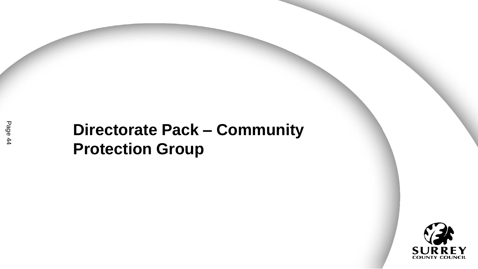# **Directorate Pack – Community Protection Group**

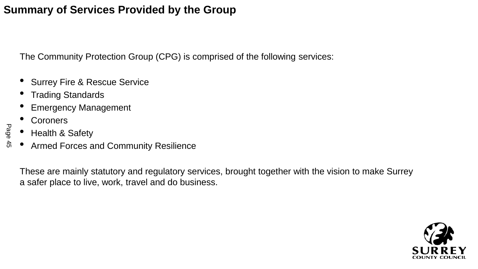# **Summary of Services Provided by the Group**

The Community Protection Group (CPG) is comprised of the following services:

- Surrey Fire & Rescue Service
- Trading Standards
- Emergency Management
- **Coroners**

Page 45

- Health & Safety
- Armed Forces and Community Resilience

These are mainly statutory and regulatory services, brought together with the vision to make Surrey a safer place to live, work, travel and do business.

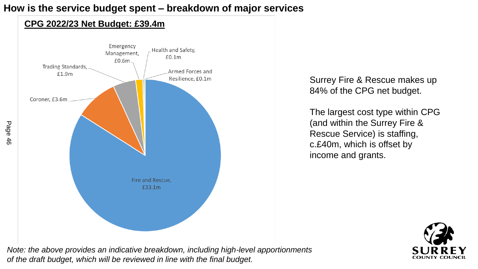## **How is the service budget spent – breakdown of major services**

#### **CPG 2022/23 Net Budget: £39.4m**



Surrey Fire & Rescue makes up 84% of the CPG net budget.

The largest cost type within CPG (and within the Surrey Fire & Rescue Service) is staffing, c.£40m, which is offset by income and grants.



*Note: the above provides an indicative breakdown, including high-level apportionments of the draft budget, which will be reviewed in line with the final budget.*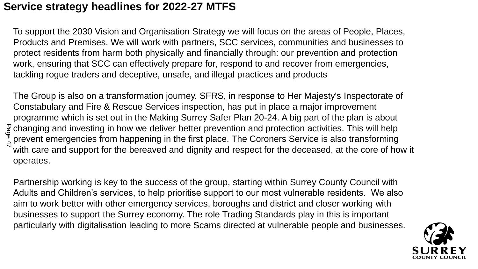# **Service strategy headlines for 2022-27 MTFS**

To support the 2030 Vision and Organisation Strategy we will focus on the areas of People, Places, Products and Premises. We will work with partners, SCC services, communities and businesses to protect residents from harm both physically and financially through: our prevention and protection work, ensuring that SCC can effectively prepare for, respond to and recover from emergencies, tackling rogue traders and deceptive, unsafe, and illegal practices and products

The Group is also on a transformation journey. SFRS, in response to Her Majesty's Inspectorate of Constabulary and Fire & Rescue Services inspection, has put in place a major improvement programme which is set out in the Making Surrey Safer Plan 20-24. A big part of the plan is about changing and investing in how we deliver better prevention and protection activities. This will help g changing and investing in how we deliver better prevention and protection activities. This will help<br>A prevent emergencies from happening in the first place. The Coroners Service is also transforming with care and support for the bereaved and dignity and respect for the deceased, at the core of how it operates.

Partnership working is key to the success of the group, starting within Surrey County Council with Adults and Children's services, to help prioritise support to our most vulnerable residents. We also aim to work better with other emergency services, boroughs and district and closer working with businesses to support the Surrey economy. The role Trading Standards play in this is important particularly with digitalisation leading to more Scams directed at vulnerable people and businesses.

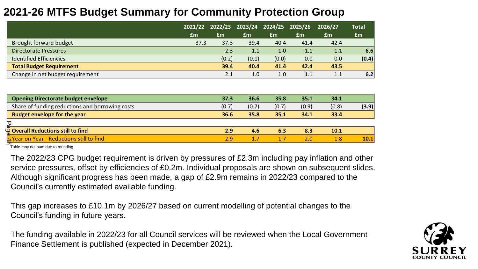# **2021-26 MTFS Budget Summary for Community Protection Group**

|                                  |      | 2021/22 2022/23 2023/24 2024/25 2025/26 |       |       |      | 2026/27 | <b>Total</b> |
|----------------------------------|------|-----------------------------------------|-------|-------|------|---------|--------------|
|                                  | Em,  | £m                                      | £m    | Em    | Em   | £m      | <b>fm</b>    |
| Brought forward budget           | 37.3 | 37.3                                    | 39.4  | 40.4  | 41.4 | 42.4    |              |
| <b>Directorate Pressures</b>     |      | 2.3                                     | 1.1   | 1.0   | 1.1  | 1.1     | 6.6          |
| <b>Identified Efficiencies</b>   |      | (0.2)                                   | (0.1) | (0.0) | 0.0  | 0.0     | (0.4)        |
| <b>Total Budget Requirement</b>  |      | 39.4                                    | 40.4  | 41.4  | 42.4 | 43.5    |              |
| Change in net budget requirement |      | 2.1                                     | 1.0   | 1.0   | 1.1  | 1.1     | 6.2          |

| 37.3             | 36.6  | 35.8  | 35.1  | 34.1  |       |
|------------------|-------|-------|-------|-------|-------|
| (0.7)            | (0.7) | (0.7) | (0.9) | (0.8) | (3.9) |
| 36.6             | 35.8  | 35.1  | 34.1  | 33.4  |       |
|                  |       |       |       |       |       |
| 2.9              | 4.6   | 6.3   | 8.3   | 10.1  |       |
| 2.9 <sub>1</sub> | 1.7   |       | 2.0   | 1.8   | 10.1  |
|                  |       |       |       |       |       |

Table may not sum due to rounding

The 2022/23 CPG budget requirement is driven by pressures of £2.3m including pay inflation and other service pressures, offset by efficiencies of £0.2m. Individual proposals are shown on subsequent slides. Although significant progress has been made, a gap of £2.9m remains in 2022/23 compared to the Council's currently estimated available funding.

This gap increases to £10.1m by 2026/27 based on current modelling of potential changes to the Council's funding in future years.

The funding available in 2022/23 for all Council services will be reviewed when the Local Government Finance Settlement is published (expected in December 2021).

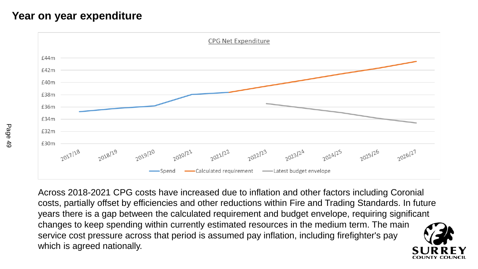# **Year on year expenditure**



Across 2018-2021 CPG costs have increased due to inflation and other factors including Coronial costs, partially offset by efficiencies and other reductions within Fire and Trading Standards. In future years there is a gap between the calculated requirement and budget envelope, requiring significant changes to keep spending within currently estimated resources in the medium term. The main service cost pressure across that period is assumed pay inflation, including firefighter's pay which is agreed nationally.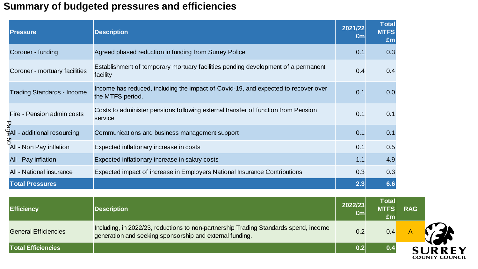# **Summary of budgeted pressures and efficiencies**

| <b>Pressure</b>                      | <b>Description</b>                                                                                                                               | 2021/22<br>£m | <b>Total</b><br><b>MTFS</b><br>Em |
|--------------------------------------|--------------------------------------------------------------------------------------------------------------------------------------------------|---------------|-----------------------------------|
| Coroner - funding                    | Agreed phased reduction in funding from Surrey Police                                                                                            | 0.1           | 0.3                               |
| Coroner - mortuary facilities        | Establishment of temporary mortuary facilities pending development of a permanent<br>facility                                                    | 0.4           | 0.4                               |
| <b>Trading Standards - Income</b>    | Income has reduced, including the impact of Covid-19, and expected to recover over<br>the MTFS period.                                           | 0.1           | 0.0                               |
| Fire - Pension admin costs<br>ل<br>ھ | Costs to administer pensions following external transfer of function from Pension<br>service                                                     | 0.1           | 0.1                               |
| <b>CAII</b> - additional resourcing  | Communications and business management support                                                                                                   | 0.1           | 0.1                               |
| All - Non Pay inflation              | Expected inflationary increase in costs                                                                                                          | 0.1           | 0.5                               |
| All - Pay inflation                  | Expected inflationary increase in salary costs                                                                                                   | 1.1           | 4.9                               |
| <b>All - National insurance</b>      | Expected impact of increase in Employers National Insurance Contributions                                                                        | 0.3           | 0.3                               |
| <b>Total Pressures</b>               |                                                                                                                                                  | 2.3           | 6.6                               |
| <b>Efficiency</b>                    | <b>Description</b>                                                                                                                               | 2022/23<br>£m | <b>Total</b><br>MTFS<br>Em        |
| <b>General Efficiencies</b>          | Including, in 2022/23, reductions to non-partnership Trading Standards spend, income<br>generation and seeking sponsorship and external funding. | 0.2           | 0.4                               |
| <b>Total Efficiencies</b>            |                                                                                                                                                  | 0.2           | 0.4                               |

| <b>Efficiency</b>           | <b>Description</b>                                                                                                                               | 2022/23<br>$\mathbf{f}$ m | Total<br><b>MTFS</b><br>$\mathbf{f}$ m | <b>RAG</b> |                                        |
|-----------------------------|--------------------------------------------------------------------------------------------------------------------------------------------------|---------------------------|----------------------------------------|------------|----------------------------------------|
| <b>General Efficiencies</b> | Including, in 2022/23, reductions to non-partnership Trading Standards spend, income<br>generation and seeking sponsorship and external funding. | 0.2                       | 0.4                                    |            |                                        |
| <b>Total Efficiencies</b>   |                                                                                                                                                  | 0.2                       | 0.4                                    |            | <b>SURREY</b><br><b>COUNTY COUNCIL</b> |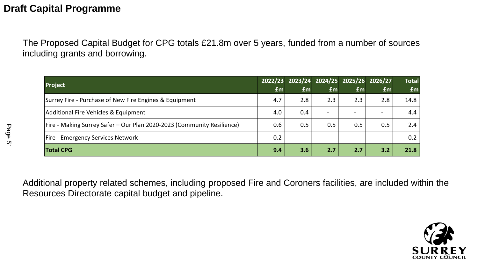#### **Draft Capital Programme**

The Proposed Capital Budget for CPG totals £21.8m over 5 years, funded from a number of sources including grants and borrowing.

|                  | <b>Project</b>                                                         |           |                          |           | 2022/23 2023/24 2024/25 2025/26 2026/27 |           | <b>Total</b> |
|------------------|------------------------------------------------------------------------|-----------|--------------------------|-----------|-----------------------------------------|-----------|--------------|
|                  |                                                                        | <b>fm</b> | £m                       | <b>fm</b> | £m                                      | <b>£m</b> | <b>fm</b>    |
|                  | Surrey Fire - Purchase of New Fire Engines & Equipment                 | 4.7       | 2.8                      | 2.3       | 2.3                                     | 2.8       | 14.8         |
|                  | Additional Fire Vehicles & Equipment                                   | 4.0       | 0.4                      |           |                                         |           | 4.4          |
|                  | Fire - Making Surrey Safer – Our Plan 2020-2023 (Community Resilience) | 0.6       | 0.5                      | 0.5       | 0.5                                     | 0.5       | 2.4          |
| Page<br><u>ო</u> | Fire - Emergency Services Network                                      | 0.2       | $\overline{\phantom{0}}$ |           |                                         |           | 0.2          |
|                  | <b>Total CPG</b>                                                       | 9.4       | 3.6                      | 2.7       | 2.7                                     | 3.2       | 21.8         |

Additional property related schemes, including proposed Fire and Coroners facilities, are included within the Resources Directorate capital budget and pipeline.

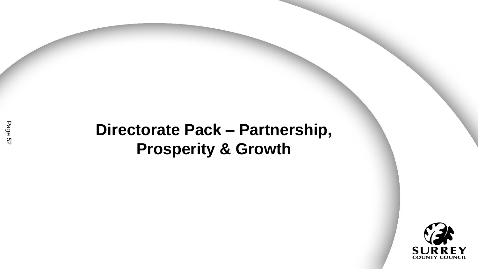# **Directorate Pack – Partnership, Prosperity & Growth**

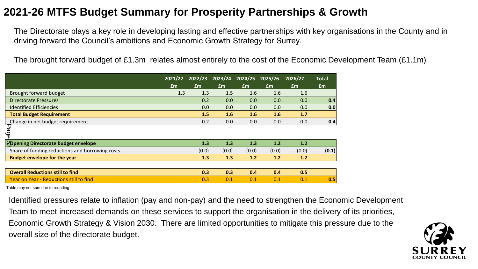# **2021-26 MTFS Budget Summary for Prosperity Partnerships & Growth**

The Directorate plays a key role in developing lasting and effective partnerships with key organisations in the County and in driving forward the Council's ambitions and Economic Growth Strategy for Surrey.

The brought forward budget of £1.3m relates almost entirely to the cost of the Economic Development Team (£1.1m)

|                                                                                                 |     |       | 2021/22 2022/23 2023/24 2024/25 2025/26 |       |       | 2026/27 | <b>Total</b> |
|-------------------------------------------------------------------------------------------------|-----|-------|-----------------------------------------|-------|-------|---------|--------------|
|                                                                                                 | £m  | £m    | £m                                      | £m    | £m    | £m      | Em           |
| Brought forward budget                                                                          | 1.3 | 1.3   | 1.5                                     | 1.6   | 1.6   | 1.6     |              |
| <b>Directorate Pressures</b>                                                                    |     | 0.2   | 0.0                                     | 0.0   | 0.0   | 0.0     | 0.4          |
| <b>Identified Efficiencies</b>                                                                  |     | 0.0   | 0.0                                     | 0.0   | 0.0   | 0.0     | 0.0          |
| <b>Total Budget Requirement</b>                                                                 |     | 1.5   | 1.6                                     | 1.6   | 1.6   | 1.7     |              |
| Change in net budget requirement                                                                |     | 0.2   | 0.0                                     | 0.0   | 0.0   | 0.0     | 0.4          |
| Page                                                                                            |     |       |                                         |       |       |         |              |
| Opening Directorate budget envelope                                                             |     | 1.3   | 1.3                                     | 1.3   | 1.2   | 1.2     |              |
| Share of funding reductions and borrowing costs                                                 |     | (0.0) | (0.0)                                   | (0.0) | (0.0) | (0.0)   | (0.1)        |
| <b>Budget envelope for the year</b>                                                             |     | 1.3   | 1.3                                     | 1.2   | 1.2   | 1.2     |              |
|                                                                                                 |     |       |                                         |       |       |         |              |
| <b>Overall Reductions still to find</b>                                                         |     | 0.3   | 0.3                                     | 0.4   | 0.4   | 0.5     |              |
| Year on Year - Reductions still to find                                                         |     | 0.3   | 0.1                                     | 0.1   | 0.1   | 0.1     | 0.5          |
| Table may not sum due to rounding                                                               |     |       |                                         |       |       |         |              |
| Identified pressures relate to inflation (pay and non-pay) and the need to strengthen the Econe |     |       |                                         |       |       |         |              |
| Team to meet increased demands on these services to support the organisation in the deliver     |     |       |                                         |       |       |         |              |
| Economic Growth Strategy & Vision 2030. There are limited opportunities to mitigate this pres   |     |       |                                         |       |       |         |              |
| overall size of the directorate budget.                                                         |     |       |                                         |       |       |         |              |

Identified pressures relate to inflation (pay and non-pay) and the need to strengthen the Economic Development Team to meet increased demands on these services to support the organisation in the delivery of its priorities, Economic Growth Strategy & Vision 2030. There are limited opportunities to mitigate this pressure due to the

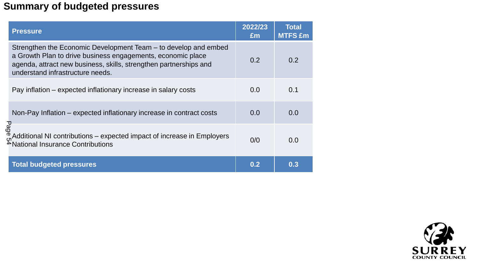## **Summary of budgeted pressures**

| <b>Pressure</b>                                                                                                                                                                                                                         | 2022/23<br>Em | <b>Total</b><br><b>MTFS £m</b> |
|-----------------------------------------------------------------------------------------------------------------------------------------------------------------------------------------------------------------------------------------|---------------|--------------------------------|
| Strengthen the Economic Development Team – to develop and embed<br>a Growth Plan to drive business engagements, economic place<br>agenda, attract new business, skills, strengthen partnerships and<br>understand infrastructure needs. | 0.2           | 0.2                            |
| Pay inflation – expected inflationary increase in salary costs                                                                                                                                                                          | 0.0           | 0.1                            |
| Non-Pay Inflation – expected inflationary increase in contract costs                                                                                                                                                                    | 0.0           | 0.0                            |
| ം<br>മ<br>എAdditional NI contributions – expected impact of increase in Employers<br><sup>4</sup> National Insurance Contributions                                                                                                      | 0/0           | 0.0                            |
| <b>Total budgeted pressures</b>                                                                                                                                                                                                         | 0.2           | 0.3                            |

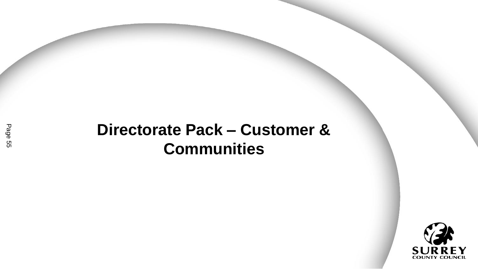# **Directorate Pack – Customer & Communities**

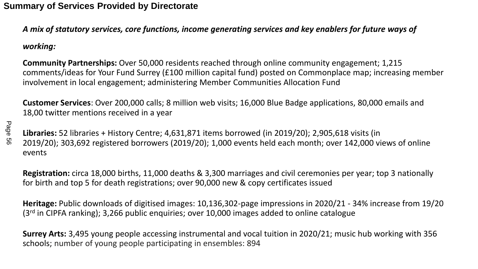#### **Summary of Services Provided by Directorate**

*A mix of statutory services, core functions, income generating services and key enablers for future ways of* 

#### *working:*

**Community Partnerships:** Over 50,000 residents reached through online community engagement; 1,215 comments/ideas for Your Fund Surrey (£100 million capital fund) posted on Commonplace map; increasing member involvement in local engagement; administering Member Communities Allocation Fund

**Customer Services**: Over 200,000 calls; 8 million web visits; 16,000 Blue Badge applications, 80,000 emails and 18,00 twitter mentions received in a year

**Libraries:** 52 libraries + History Centre; 4,631,871 items borrowed (in 2019/20); 2,905,618 visits (in 2019/20); 303,692 registered borrowers (2019/20); 1,000 events held each month; over 142,000 views of online events

**Registration:** circa 18,000 births, 11,000 deaths & 3,300 marriages and civil ceremonies per year; top 3 nationally for birth and top 5 for death registrations; over 90,000 new & copy certificates issued

**Heritage:** Public downloads of digitised images: 10,136,302-page impressions in 2020/21 - 34% increase from 19/20  $(3<sup>rd</sup>$  in CIPFA ranking); 3,266 public enquiries; over 10,000 images added to online catalogue

**Surrey Arts:** 3,495 young people accessing instrumental and vocal tuition in 2020/21; music hub working with 356 schools; number of young people participating in ensembles: 894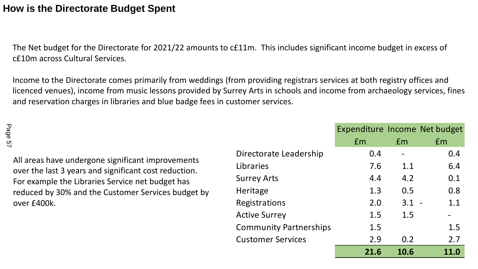#### **How is the Directorate Budget Spent**

The Net budget for the Directorate for 2021/22 amounts to c£11m. This includes significant income budget in excess of c£10m across Cultural Services.

Income to the Directorate comes primarily from weddings (from providing registrars services at both registry offices and licenced venues), income from music lessons provided by Surrey Arts in schools and income from archaeology services, fines and reservation charges in libraries and blue badge fees in customer services.

| Page                                                                                                       |                               | Expenditure Income Net budget |                |                          |
|------------------------------------------------------------------------------------------------------------|-------------------------------|-------------------------------|----------------|--------------------------|
| 57                                                                                                         |                               | Em                            | Em             | Em <sub>1</sub>          |
|                                                                                                            | Directorate Leadership        | 0.4                           | $\blacksquare$ | 0.4                      |
| All areas have undergone significant improvements<br>over the last 3 years and significant cost reduction. | Libraries                     | 7.6                           | 1.1            | 6.4                      |
| For example the Libraries Service net budget has                                                           | <b>Surrey Arts</b>            | 4.4                           | 4.2            | 0.1                      |
| reduced by 30% and the Customer Services budget by                                                         | Heritage                      | 1.3                           | 0.5            | 0.8                      |
| over £400k.                                                                                                | <b>Registrations</b>          | 2.0                           | $3.1 -$        | 1.1                      |
|                                                                                                            | <b>Active Surrey</b>          | 1.5                           | 1.5            | $\overline{\phantom{a}}$ |
|                                                                                                            | <b>Community Partnerships</b> | 1.5                           |                | 1.5                      |

Customer Services 2.9 0.2 2.7

 **21.6 10.6 11.0**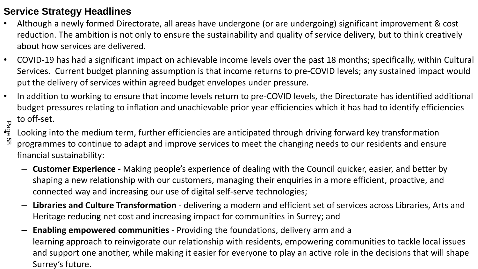## **Service Strategy Headlines**

- Although a newly formed Directorate, all areas have undergone (or are undergoing) significant improvement & cost reduction. The ambition is not only to ensure the sustainability and quality of service delivery, but to think creatively about how services are delivered.
- COVID-19 has had a significant impact on achievable income levels over the past 18 months; specifically, within Cultural Services. Current budget planning assumption is that income returns to pre-COVID levels; any sustained impact would put the delivery of services within agreed budget envelopes under pressure.
- In addition to working to ensure that income levels return to pre-COVID levels, the Directorate has identified additional budget pressures relating to inflation and unachievable prior year efficiencies which it has had to identify efficiencies to off-set.
- $\frac{1}{20}$  to on-set.<br> $\frac{2}{9}$  Looking into the medium term, further efficiencies are anticipated through driving forward key transformation<br> $\frac{2}{9}$  programmes to continue to adant and improve services to meet the chan programmes to continue to adapt and improve services to meet the changing needs to our residents and ensure

financial sustainability:

- **Customer Experience** Making people's experience of dealing with the Council quicker, easier, and better by shaping a new relationship with our customers, managing their enquiries in a more efficient, proactive, and connected way and increasing our use of digital self-serve technologies;
- **Libraries and Culture Transformation** delivering a modern and efficient set of services across Libraries, Arts and Heritage reducing net cost and increasing impact for communities in Surrey; and
- **Enabling empowered communities** Providing the foundations, delivery arm and a learning approach to reinvigorate our relationship with residents, empowering communities to tackle local issues and support one another, while making it easier for everyone to play an active role in the decisions that will shape Burrectical sustainabil<br>
Surrectical sustainabil<br>  $-$  Customer Expe<br>
shaping a new reconnected way<br>  $-$  Libraries and Cu<br>
Heritage reduci<br>  $-$  Enabling empo<br>
learning approaching support on<br>
Surrey's future.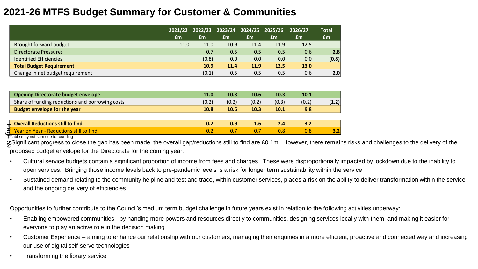## **2021-26 MTFS Budget Summary for Customer & Communities**

|                                  |      | 2021/22 2022/23 2023/24 2024/25 2025/26 |      |      |      | 2026/27 | <b>Total</b> |
|----------------------------------|------|-----------------------------------------|------|------|------|---------|--------------|
|                                  | £m   | £m                                      | £m   | £m   | £m   | £m      | £m           |
| Brought forward budget           | 11.0 | 11.0                                    | 10.9 | 11.4 | 11.9 | 12.5    |              |
| <b>Directorate Pressures</b>     |      | 0.7                                     | 0.5  | 0.5  | 0.5  | 0.6     | 2.8          |
| <b>Identified Efficiencies</b>   |      | (0.8)                                   | 0.0  | 0.0  | 0.0  | 0.0     | (0.8)        |
| <b>Total Budget Requirement</b>  |      | 10.9                                    | 11.4 | 11.9 | 12.5 | 13.0    |              |
| Change in net budget requirement |      | (0.1)                                   | 0.5  | 0.5  | 0.5  | 0.6     | 2.0          |

| <b>Opening Directorate budget envelope</b>      | 11.0  | 10.8  | 10.6  | 10.3  | 10.1  |       |
|-------------------------------------------------|-------|-------|-------|-------|-------|-------|
| Share of funding reductions and borrowing costs | (0.2) | (0.2) | (0.2) | (0.3) | (0.2) | (1.2) |
| <b>Budget envelope for the year</b>             | 10.8  | 10.6  | 10.3  | 10.1  | 9.8   |       |
|                                                 |       |       |       |       |       |       |

| <b><del></del> Overall Reductions still to find</b>                                                                                                                           | 0.9  | 1.6 | 2.4 |     |  |  |
|-------------------------------------------------------------------------------------------------------------------------------------------------------------------------------|------|-----|-----|-----|--|--|
| <b>A</b> Year on Year - Reductions still to find                                                                                                                              | -0.7 | 0.1 | 0.8 | 0.8 |  |  |
| <b>O</b> Table may not sum due to rounding                                                                                                                                    |      |     |     |     |  |  |
| g Significant progress to close the gap has been made, the overall gap/reductions still to find are £0.1m. However, there remains risks and challenges to the delivery of the |      |     |     |     |  |  |

proposed budget envelope for the Directorate for the coming year:

- Cultural service budgets contain a significant proportion of income from fees and charges. These were disproportionally impacted by lockdown due to the inability to open services. Bringing those income levels back to pre-pandemic levels is a risk for longer term sustainability within the service
- Sustained demand relating to the community helpline and test and trace, within customer services, places a risk on the ability to deliver transformation within the service and the ongoing delivery of efficiencies

Opportunities to further contribute to the Council's medium term budget challenge in future years exist in relation to the following activities underway:

- Enabling empowered communities by handing more powers and resources directly to communities, designing services locally with them, and making it easier for everyone to play an active role in the decision making
- Customer Experience aiming to enhance our relationship with our customers, managing their enquiries in a more efficient, proactive and connected way and increasing our use of digital self-serve technologies
- Transforming the library service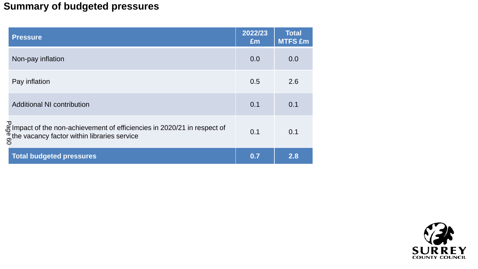# **Summary of budgeted pressures**

| <b>Pressure</b>                                                                                                              | 2022/23<br>Em | <b>Total</b><br><b>MTFS £m</b> |
|------------------------------------------------------------------------------------------------------------------------------|---------------|--------------------------------|
| Non-pay inflation                                                                                                            | 0.0           | 0.0                            |
| Pay inflation                                                                                                                | 0.5           | 2.6                            |
| <b>Additional NI contribution</b>                                                                                            | 0.1           | 0.1                            |
| a Impact of the non-achievement of efficiencies in 2020/21 in respect of<br>The vacancy factor within libraries service<br>8 | 0.1           | 0.1                            |
| <b>Total budgeted pressures</b>                                                                                              | 0.7           | 2.8                            |

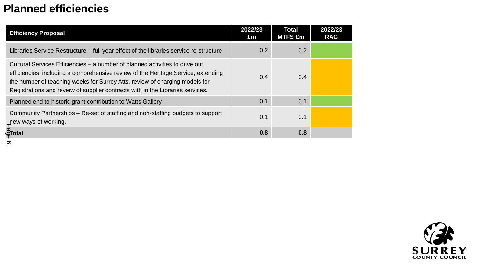# **Planned efficiencies**

| <b>Efficiency Proposal</b>                                                                                                                                                                                                                                                                                                         | 2022/23<br>£m | <b>Total</b><br><b>MTFS £m</b> | 2022/23<br><b>RAG</b> |
|------------------------------------------------------------------------------------------------------------------------------------------------------------------------------------------------------------------------------------------------------------------------------------------------------------------------------------|---------------|--------------------------------|-----------------------|
| Libraries Service Restructure – full year effect of the libraries service re-structure                                                                                                                                                                                                                                             | 0.2           | 0.2                            |                       |
| Cultural Services Efficiencies – a number of planned activities to drive out<br>efficiencies, including a comprehensive review of the Heritage Service, extending<br>the number of teaching weeks for Surrey Atts, review of charging models for<br>Registrations and review of supplier contracts with in the Libraries services. | 0.4           | 0.4                            |                       |
| Planned end to historic grant contribution to Watts Gallery                                                                                                                                                                                                                                                                        | 0.1           | 0.1                            |                       |
| Community Partnerships – Re-set of staffing and non-staffing budgets to support<br>new ways of working.<br>ℸ                                                                                                                                                                                                                       | 0.1           | 0.1                            |                       |
| <u>്Total</u>                                                                                                                                                                                                                                                                                                                      | 0.8           | 0.8                            |                       |
|                                                                                                                                                                                                                                                                                                                                    |               |                                |                       |